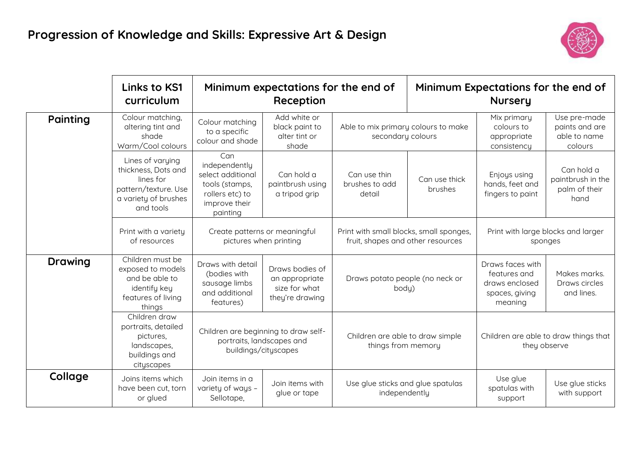

|                | Links to KS1<br>curriculum                                                                                        | Minimum expectations for the end of<br>Reception                                                            |                                                                       |                                                                                                    | Minimum Expectations for the end of<br><b>Nursery</b> |                                                                                 |                                                           |
|----------------|-------------------------------------------------------------------------------------------------------------------|-------------------------------------------------------------------------------------------------------------|-----------------------------------------------------------------------|----------------------------------------------------------------------------------------------------|-------------------------------------------------------|---------------------------------------------------------------------------------|-----------------------------------------------------------|
| Painting       | Colour matching,<br>altering tint and<br>shade<br>Warm/Cool colours                                               | Colour matching<br>to a specific<br>colour and shade                                                        | Add white or<br>black paint to<br>alter tint or<br>shade              | Able to mix primary colours to make<br>secondary colours                                           |                                                       | Mix primary<br>colours to<br>appropriate<br>consistency                         | Use pre-made<br>paints and are<br>able to name<br>colours |
|                | Lines of varying<br>thickness, Dots and<br>lines for<br>pattern/texture. Use<br>a variety of brushes<br>and tools | Can<br>independently<br>select additional<br>tools (stamps,<br>rollers etc) to<br>improve their<br>painting | Can hold a<br>paintbrush using<br>a tripod grip                       | Can use thin<br>brushes to add<br>detail                                                           | Can use thick<br>brushes                              | Enjoys using<br>hands, feet and<br>fingers to paint                             | Can hold a<br>paintbrush in the<br>palm of their<br>hand  |
|                | Print with a variety<br>of resources                                                                              | pictures when printing                                                                                      | Create patterns or meaningful                                         | Print with small blocks, small sponges,<br>fruit, shapes and other resources                       |                                                       | Print with large blocks and larger<br>sponges                                   |                                                           |
| <b>Drawing</b> | Children must be<br>exposed to models<br>and be able to<br>identify key<br>features of living<br>things           | Draws with detail<br>(bodies with<br>sausage limbs<br>and additional<br>features)                           | Draws bodies of<br>an appropriate<br>size for what<br>they're drawing | Draws potato people (no neck or<br>body)<br>Children are able to draw simple<br>things from memory |                                                       | Draws faces with<br>features and<br>draws enclosed<br>spaces, giving<br>meaning | Makes marks.<br>Draws circles<br>and lines.               |
|                | Children draw<br>portraits, detailed<br>pictures,<br>landscapes,<br>buildings and<br>cityscapes                   | Children are beginning to draw self-<br>portraits, landscapes and                                           | buildings/cityscapes                                                  |                                                                                                    |                                                       | Children are able to draw things that<br>they observe                           |                                                           |
| Collage        | Joins items which<br>have been cut, torn<br>or glued                                                              | Join items in a<br>variety of ways -<br>Sellotape,                                                          | Join items with<br>glue or tape                                       | Use glue sticks and glue spatulas<br>independently                                                 |                                                       | Use glue<br>spatulas with<br>support                                            | Use glue sticks<br>with support                           |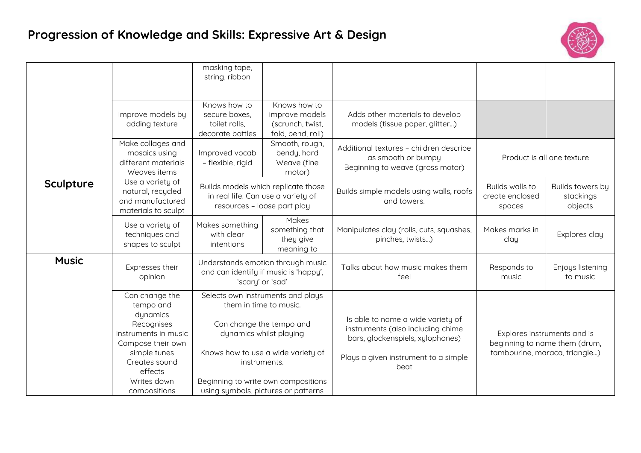## **Progression of Knowledge and Skills: Expressive Art & Design**



|              |                                                                                                                                                                               | masking tape,<br>string, ribbon                                                                |                                                                                                                                                                                                                                                        |                                                                                                                                                            |                                                                                               |                                          |
|--------------|-------------------------------------------------------------------------------------------------------------------------------------------------------------------------------|------------------------------------------------------------------------------------------------|--------------------------------------------------------------------------------------------------------------------------------------------------------------------------------------------------------------------------------------------------------|------------------------------------------------------------------------------------------------------------------------------------------------------------|-----------------------------------------------------------------------------------------------|------------------------------------------|
|              | Improve models by<br>adding texture                                                                                                                                           | Knows how to<br>secure boxes,<br>toilet rolls,<br>decorate bottles                             | Knows how to<br>improve models<br>(scrunch, twist,<br>fold, bend, roll)                                                                                                                                                                                | Adds other materials to develop<br>models (tissue paper, glitter)                                                                                          |                                                                                               |                                          |
|              | Make collages and<br>mosaics using<br>different materials<br>Weaves items                                                                                                     | Improved vocab<br>- flexible, rigid                                                            | Smooth, rough,<br>bendy, hard<br>Weave (fine<br>motor)                                                                                                                                                                                                 | Additional textures - children describe<br>as smooth or bumpy<br>Beginning to weave (gross motor)                                                          | Product is all one texture                                                                    |                                          |
| Sculpture    | Use a variety of<br>natural, recycled<br>and manufactured<br>materials to sculpt                                                                                              |                                                                                                | Builds models which replicate those<br>in real life. Can use a variety of<br>resources - loose part play                                                                                                                                               | Builds simple models using walls, roofs<br>and towers.                                                                                                     | Builds walls to<br>create enclosed<br>spaces                                                  | Builds towers by<br>stackings<br>objects |
|              | Use a variety of<br>techniques and<br>shapes to sculpt                                                                                                                        | Makes something<br>with clear<br>intentions                                                    | Makes<br>something that<br>they give<br>meaning to                                                                                                                                                                                                     | Manipulates clay (rolls, cuts, squashes,<br>pinches, twists)                                                                                               | Makes marks in<br>clay                                                                        | Explores clay                            |
| <b>Music</b> | Expresses their<br>opinion                                                                                                                                                    | Understands emotion through music<br>and can identify if music is 'happy',<br>'scary' or 'sad' |                                                                                                                                                                                                                                                        | Talks about how music makes them<br>feel                                                                                                                   | Responds to<br>music                                                                          | Enjoys listening<br>to music             |
|              | Can change the<br>tempo and<br>dynamics<br>Recognises<br>instruments in music<br>Compose their own<br>simple tunes<br>Creates sound<br>effects<br>Writes down<br>compositions |                                                                                                | Selects own instruments and plays<br>them in time to music.<br>Can change the tempo and<br>dynamics whilst playing<br>Knows how to use a wide variety of<br>instruments.<br>Beginning to write own compositions<br>using symbols, pictures or patterns | Is able to name a wide variety of<br>instruments (also including chime<br>bars, glockenspiels, xylophones)<br>Plays a given instrument to a simple<br>beat | Explores instruments and is<br>beginning to name them (drum,<br>tambourine, maraca, triangle) |                                          |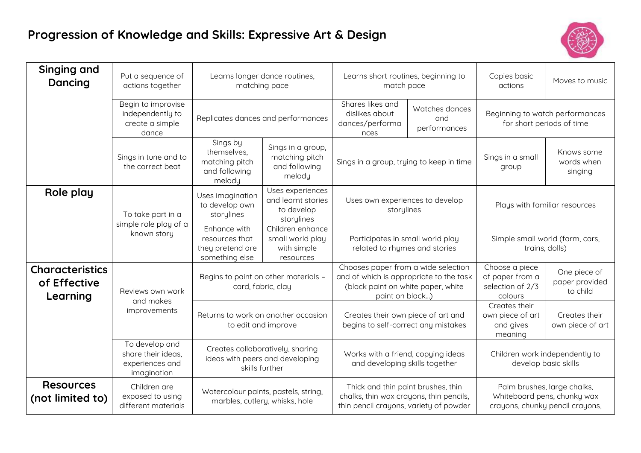## **Progression of Knowledge and Skills: Expressive Art & Design**



| Singing and<br>Dancing                             | Put a sequence of<br>actions together                                  | Learns longer dance routines,<br>matching pace                                        |                                                                    | Learns short routines, beginning to<br>match pace                                                                                       |  | Copies basic<br>actions                                                                       | Moves to music                             |
|----------------------------------------------------|------------------------------------------------------------------------|---------------------------------------------------------------------------------------|--------------------------------------------------------------------|-----------------------------------------------------------------------------------------------------------------------------------------|--|-----------------------------------------------------------------------------------------------|--------------------------------------------|
|                                                    | Begin to improvise<br>independently to<br>create a simple<br>dance     | Replicates dances and performances                                                    |                                                                    | Shares likes and<br>Watches dances<br>dislikes about<br>and<br>dances/performa<br>performances<br>nces                                  |  | Beginning to watch performances<br>for short periods of time                                  |                                            |
|                                                    | Sings in tune and to<br>the correct beat                               | Sings by<br>themselves,<br>matching pitch<br>and following<br>melody                  | Sings in a group,<br>matching pitch<br>and following<br>melody     | Sings in a group, trying to keep in time                                                                                                |  | Sings in a small<br>group                                                                     | Knows some<br>words when<br>singing        |
| Role play                                          | To take part in a                                                      | Uses imagination<br>to develop own<br>storylines                                      | Uses experiences<br>and learnt stories<br>to develop<br>storylines | Uses own experiences to develop<br>storylines                                                                                           |  | Plays with familiar resources                                                                 |                                            |
|                                                    | simple role play of a<br>known story                                   | Enhance with<br>resources that<br>they pretend are<br>something else                  | Children enhance<br>small world play<br>with simple<br>resources   | Participates in small world play<br>related to rhymes and stories                                                                       |  | Simple small world (farm, cars,<br>trains, dolls)                                             |                                            |
| <b>Characteristics</b><br>of Effective<br>Learning | Reviews own work<br>and makes                                          | Begins to paint on other materials -                                                  | card, fabric, clay                                                 | Chooses paper from a wide selection<br>and of which is appropriate to the task<br>(black paint on white paper, white<br>paint on black) |  | Choose a piece<br>of paper from a<br>selection of 2/3<br>colours                              | One piece of<br>paper provided<br>to child |
|                                                    | improvements                                                           | Returns to work on another occasion<br>to edit and improve                            |                                                                    | Creates their own piece of art and<br>begins to self-correct any mistakes                                                               |  | Creates their<br>own piece of art<br>and gives<br>meaning                                     | Creates their<br>own piece of art          |
|                                                    | To develop and<br>share their ideas,<br>experiences and<br>imagination | Creates collaboratively, sharing<br>ideas with peers and developing<br>skills further |                                                                    | Works with a friend, copying ideas<br>and developing skills together                                                                    |  | Children work independently to<br>develop basic skills                                        |                                            |
| <b>Resources</b><br>(not limited to)               | Children are<br>exposed to using<br>different materials                | Watercolour paints, pastels, string,<br>marbles, cutlery, whisks, hole                |                                                                    | Thick and thin paint brushes, thin<br>chalks, thin wax crayons, thin pencils,<br>thin pencil crayons, variety of powder                 |  | Palm brushes, large chalks,<br>Whiteboard pens, chunky wax<br>crayons, chunky pencil crayons, |                                            |